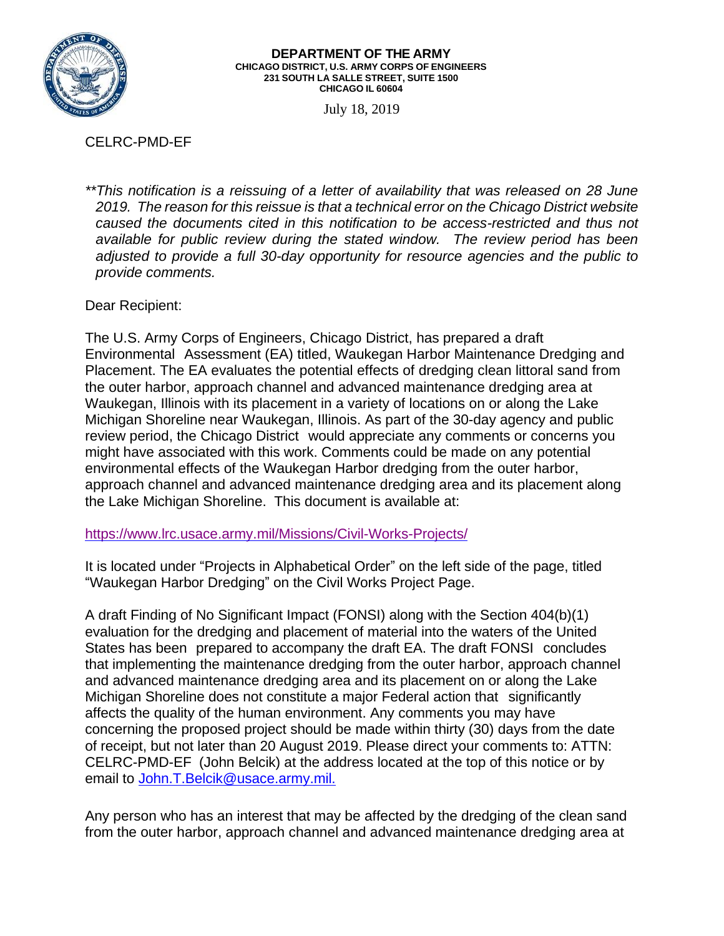

## **DEPARTMENT OF THE ARMY CHICAGO DISTRICT, U.S. ARMY CORPS OF ENGINEERS 231 SOUTH LA SALLE STREET, SUITE 1500 CHICAGO IL 60604**

July 18, 2019

## CELRC-PMD-EF

*\*\*This notification is a reissuing of a letter of availability that was released on 28 June 2019. The reason for this reissue is that a technical error on the Chicago District website caused the documents cited in this notification to be access-restricted and thus not available for public review during the stated window. The review period has been adjusted to provide a full 30-day opportunity for resource agencies and the public to provide comments.*

Dear Recipient:

The U.S. Army Corps of Engineers, Chicago District, has prepared a draft Environmental Assessment (EA) titled, Waukegan Harbor Maintenance Dredging and Placement. The EA evaluates the potential effects of dredging clean littoral sand from the outer harbor, approach channel and advanced maintenance dredging area at Waukegan, Illinois with its placement in a variety of locations on or along the Lake Michigan Shoreline near Waukegan, Illinois. As part of the 30-day agency and public review period, the Chicago District would appreciate any comments or concerns you might have associated with this work. Comments could be made on any potential environmental effects of the Waukegan Harbor dredging from the outer harbor, approach channel and advanced maintenance dredging area and its placement along the Lake Michigan Shoreline. This document is available at:

<https://www.lrc.usace.army.mil/Missions/Civil-Works-Projects/>

It is located under "Projects in Alphabetical Order" on the left side of the page, titled "Waukegan Harbor Dredging" on the Civil Works Project Page.

A draft Finding of No Significant Impact (FONSI) along with the Section 404(b)(1) evaluation for the dredging and placement of material into the waters of the United States has been prepared to accompany the draft EA. The draft FONSI concludes that implementing the maintenance dredging from the outer harbor, approach channel and advanced maintenance dredging area and its placement on or along the Lake Michigan Shoreline does not constitute a major Federal action that significantly affects the quality of the human environment. Any comments you may have concerning the proposed project should be made within thirty (30) days from the date of receipt, but not later than 20 August 2019. Please direct your comments to: ATTN: CELRC-PMD-EF (John Belcik) at the address located at the top of this notice or by email to John.T.Belcik@usace.army.mil.

Any person who has an interest that may be affected by the dredging of the clean sand from the outer harbor, approach channel and advanced maintenance dredging area at